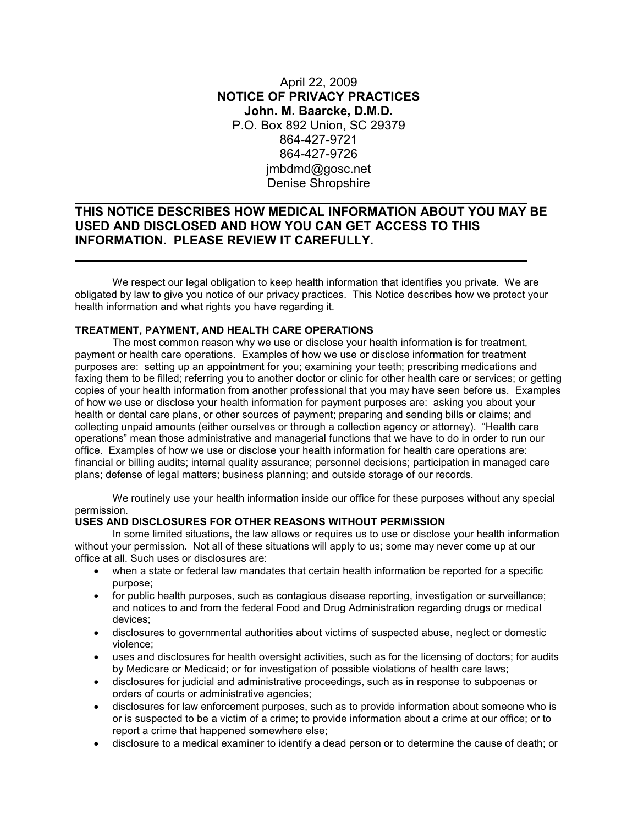## April 22, 2009 **NOTICE OF PRIVACY PRACTICES John. M. Baarcke, D.M.D.** P.O. Box 892 Union, SC 29379 864-427-9721 864-427-9726 jmbdmd@gosc.net Denise Shropshire

# **THIS NOTICE DESCRIBES HOW MEDICAL INFORMATION ABOUT YOU MAY BE USED AND DISCLOSED AND HOW YOU CAN GET ACCESS TO THIS INFORMATION. PLEASE REVIEW IT CAREFULLY.**

**\_\_\_\_\_\_\_\_\_\_\_\_\_\_\_\_\_\_\_\_\_\_\_\_\_\_\_\_\_\_\_\_\_\_\_\_\_\_\_\_\_\_\_\_\_\_\_\_\_\_\_\_\_\_\_\_\_\_\_\_\_\_\_\_\_**

**\_\_\_\_\_\_\_\_\_\_\_\_\_\_\_\_\_\_\_\_\_\_\_\_\_\_\_\_\_\_\_\_\_\_\_\_\_\_\_\_\_\_\_\_\_\_\_\_\_\_\_\_\_\_\_\_\_\_\_\_\_\_\_\_\_**

We respect our legal obligation to keep health information that identifies you private. We are obligated by law to give you notice of our privacy practices. This Notice describes how we protect your health information and what rights you have regarding it.

## **TREATMENT, PAYMENT, AND HEALTH CARE OPERATIONS**

The most common reason why we use or disclose your health information is for treatment, payment or health care operations. Examples of how we use or disclose information for treatment purposes are: setting up an appointment for you; examining your teeth; prescribing medications and faxing them to be filled; referring you to another doctor or clinic for other health care or services; or getting copies of your health information from another professional that you may have seen before us. Examples of how we use or disclose your health information for payment purposes are: asking you about your health or dental care plans, or other sources of payment; preparing and sending bills or claims; and collecting unpaid amounts (either ourselves or through a collection agency or attorney). "Health care operations" mean those administrative and managerial functions that we have to do in order to run our office. Examples of how we use or disclose your health information for health care operations are: financial or billing audits; internal quality assurance; personnel decisions; participation in managed care plans; defense of legal matters; business planning; and outside storage of our records.

We routinely use your health information inside our office for these purposes without any special permission.

### **USES AND DISCLOSURES FOR OTHER REASONS WITHOUT PERMISSION**

 In some limited situations, the law allows or requires us to use or disclose your health information without your permission. Not all of these situations will apply to us; some may never come up at our office at all. Such uses or disclosures are:

- when a state or federal law mandates that certain health information be reported for a specific purpose;
- for public health purposes, such as contagious disease reporting, investigation or surveillance; and notices to and from the federal Food and Drug Administration regarding drugs or medical devices;
- disclosures to governmental authorities about victims of suspected abuse, neglect or domestic violence;
- uses and disclosures for health oversight activities, such as for the licensing of doctors; for audits by Medicare or Medicaid; or for investigation of possible violations of health care laws;
- disclosures for judicial and administrative proceedings, such as in response to subpoenas or orders of courts or administrative agencies;
- disclosures for law enforcement purposes, such as to provide information about someone who is or is suspected to be a victim of a crime; to provide information about a crime at our office; or to report a crime that happened somewhere else;
- disclosure to a medical examiner to identify a dead person or to determine the cause of death; or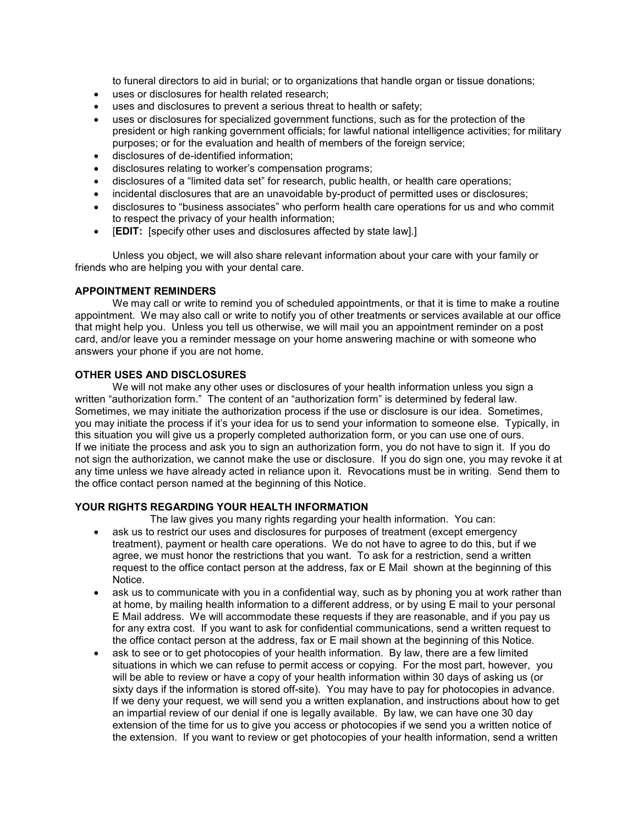to funeral directors to aid in burial; or to organizations that handle organ or tissue donations;

- uses or disclosures for health related research;
- uses and disclosures to prevent a serious threat to health or safety;
- uses or disclosures for specialized government functions, such as for the protection of the president or high ranking government officials; for lawful national intelligence activities; for military purposes; or for the evaluation and health of members of the foreign service;
- disclosures of de-identified information;
- disclosures relating to worker's compensation programs;
- disclosures of a "limited data set" for research, public health, or health care operations;
- incidental disclosures that are an unavoidable by-product of permitted uses or disclosures;
- disclosures to "business associates" who perform health care operations for us and who commit to respect the privacy of your health information;
- **FEDIT:** Ispecify other uses and disclosures affected by state law].

 Unless you object, we will also share relevant information about your care with your family or friends who are helping you with your dental care.

### **APPOINTMENT REMINDERS**

We may call or write to remind you of scheduled appointments, or that it is time to make a routine appointment. We may also call or write to notify you of other treatments or services available at our office that might help you. Unless you tell us otherwise, we will mail you an appointment reminder on a post card, and/or leave you a reminder message on your home answering machine or with someone who answers your phone if you are not home.

## **OTHER USES AND DISCLOSURES**

We will not make any other uses or disclosures of your health information unless you sign a written "authorization form." The content of an "authorization form" is determined by federal law. Sometimes, we may initiate the authorization process if the use or disclosure is our idea. Sometimes, you may initiate the process if it's your idea for us to send your information to someone else. Typically, in this situation you will give us a properly completed authorization form, or you can use one of ours. If we initiate the process and ask you to sign an authorization form, you do not have to sign it. If you do not sign the authorization, we cannot make the use or disclosure. If you do sign one, you may revoke it at any time unless we have already acted in reliance upon it. Revocations must be in writing. Send them to the office contact person named at the beginning of this Notice.

## **YOUR RIGHTS REGARDING YOUR HEALTH INFORMATION**

The law gives you many rights regarding your health information. You can:

- ask us to restrict our uses and disclosures for purposes of treatment (except emergency treatment), payment or health care operations. We do not have to agree to do this, but if we agree, we must honor the restrictions that you want. To ask for a restriction, send a written request to the office contact person at the address, fax or E Mail shown at the beginning of this Notice.
- ask us to communicate with you in a confidential way, such as by phoning you at work rather than at home, by mailing health information to a different address, or by using E mail to your personal E Mail address. We will accommodate these requests if they are reasonable, and if you pay us for any extra cost. If you want to ask for confidential communications, send a written request to the office contact person at the address, fax or E mail shown at the beginning of this Notice.
- ask to see or to get photocopies of your health information. By law, there are a few limited situations in which we can refuse to permit access or copying. For the most part, however, you will be able to review or have a copy of your health information within 30 days of asking us (or sixty days if the information is stored off-site). You may have to pay for photocopies in advance. If we deny your request, we will send you a written explanation, and instructions about how to get an impartial review of our denial if one is legally available. By law, we can have one 30 day extension of the time for us to give you access or photocopies if we send you a written notice of the extension. If you want to review or get photocopies of your health information, send a written